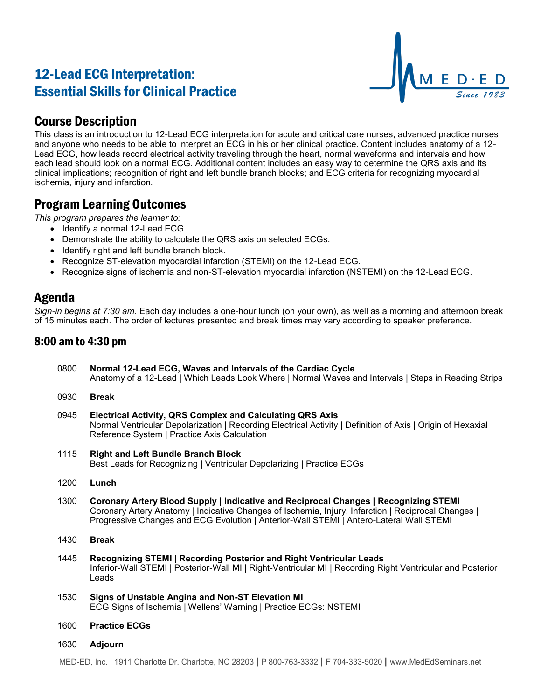# 12-Lead ECG Interpretation: Essential Skills for Clinical Practice



## Course Description

This class is an introduction to 12-Lead ECG interpretation for acute and critical care nurses, advanced practice nurses and anyone who needs to be able to interpret an ECG in his or her clinical practice. Content includes anatomy of a 12- Lead ECG, how leads record electrical activity traveling through the heart, normal waveforms and intervals and how each lead should look on a normal ECG. Additional content includes an easy way to determine the QRS axis and its clinical implications; recognition of right and left bundle branch blocks; and ECG criteria for recognizing myocardial ischemia, injury and infarction.

### Program Learning Outcomes

*This program prepares the learner to:*

- Identify a normal 12-Lead ECG.
- Demonstrate the ability to calculate the QRS axis on selected ECGs.
- Identify right and left bundle branch block.
- Recognize ST-elevation myocardial infarction (STEMI) on the 12-Lead ECG.
- Recognize signs of ischemia and non-ST-elevation myocardial infarction (NSTEMI) on the 12-Lead ECG.

#### Agenda

*Sign-in begins at 7:30 am.* Each day includes a one-hour lunch (on your own), as well as a morning and afternoon break of 15 minutes each. The order of lectures presented and break times may vary according to speaker preference.

#### 8:00 am to 4:30 pm

| 0800 | Normal 12-Lead ECG, Waves and Intervals of the Cardiac Cycle<br>Anatomy of a 12-Lead   Which Leads Look Where   Normal Waves and Intervals   Steps in Reading Strips                                                                                                                          |
|------|-----------------------------------------------------------------------------------------------------------------------------------------------------------------------------------------------------------------------------------------------------------------------------------------------|
| 0930 | <b>Break</b>                                                                                                                                                                                                                                                                                  |
| 0945 | <b>Electrical Activity, QRS Complex and Calculating QRS Axis</b><br>Normal Ventricular Depolarization   Recording Electrical Activity   Definition of Axis   Origin of Hexaxial<br>Reference System   Practice Axis Calculation                                                               |
| 1115 | <b>Right and Left Bundle Branch Block</b><br>Best Leads for Recognizing   Ventricular Depolarizing   Practice ECGs                                                                                                                                                                            |
| 1200 | Lunch                                                                                                                                                                                                                                                                                         |
| 1300 | <b>Coronary Artery Blood Supply   Indicative and Reciprocal Changes   Recognizing STEMI</b><br>Coronary Artery Anatomy   Indicative Changes of Ischemia, Injury, Infarction   Reciprocal Changes  <br>Progressive Changes and ECG Evolution   Anterior-Wall STEMI   Antero-Lateral Wall STEMI |
| 1430 | <b>Break</b>                                                                                                                                                                                                                                                                                  |
| 1445 | Recognizing STEMI   Recording Posterior and Right Ventricular Leads<br>Inferior-Wall STEMI   Posterior-Wall MI   Right-Ventricular MI   Recording Right Ventricular and Posterior<br>Leads                                                                                                    |
| 1530 | Signs of Unstable Angina and Non-ST Elevation MI<br>ECG Signs of Ischemia   Wellens' Warning   Practice ECGs: NSTEMI                                                                                                                                                                          |
| 1600 | <b>Practice ECGs</b>                                                                                                                                                                                                                                                                          |
| 1630 | Adjourn                                                                                                                                                                                                                                                                                       |

MED-ED, Inc. | 1911 Charlotte Dr. Charlotte, NC 28203 **|** P 800-763-3332 **|** F 704-333-5020 **|** www.MedEdSeminars.net